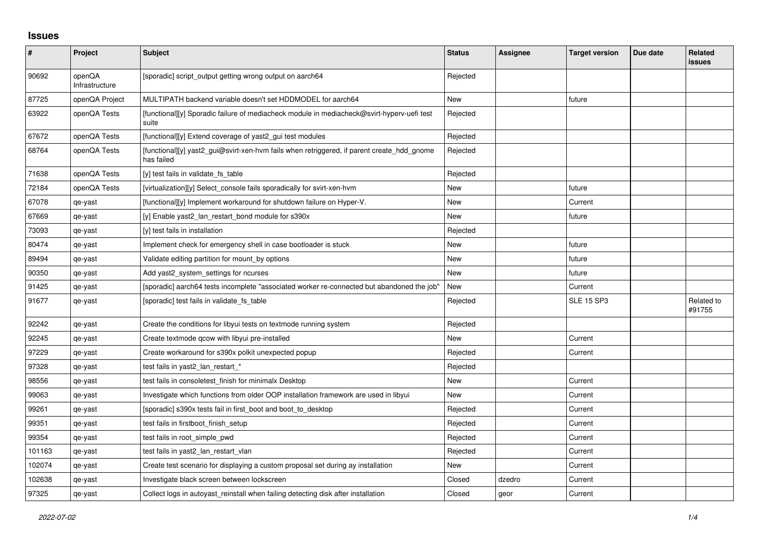## **Issues**

| $\pmb{\#}$ | Project                  | <b>Subject</b>                                                                                           | <b>Status</b> | <b>Assignee</b> | <b>Target version</b> | Due date | Related<br><b>issues</b> |
|------------|--------------------------|----------------------------------------------------------------------------------------------------------|---------------|-----------------|-----------------------|----------|--------------------------|
| 90692      | openQA<br>Infrastructure | [sporadic] script_output getting wrong output on aarch64                                                 | Rejected      |                 |                       |          |                          |
| 87725      | openQA Project           | MULTIPATH backend variable doesn't set HDDMODEL for aarch64                                              | <b>New</b>    |                 | future                |          |                          |
| 63922      | openQA Tests             | [functional][y] Sporadic failure of mediacheck module in mediacheck@svirt-hyperv-uefi test<br>suite      | Rejected      |                 |                       |          |                          |
| 67672      | openQA Tests             | [functional][y] Extend coverage of yast2_gui test modules                                                | Rejected      |                 |                       |          |                          |
| 68764      | openQA Tests             | [functional][y] yast2 gui@svirt-xen-hvm fails when retriggered, if parent create hdd gnome<br>has failed | Rejected      |                 |                       |          |                          |
| 71638      | openQA Tests             | [y] test fails in validate fs_table                                                                      | Rejected      |                 |                       |          |                          |
| 72184      | openQA Tests             | [virtualization][y] Select console fails sporadically for svirt-xen-hym                                  | <b>New</b>    |                 | future                |          |                          |
| 67078      | qe-yast                  | [functional][y] Implement workaround for shutdown failure on Hyper-V.                                    | <b>New</b>    |                 | Current               |          |                          |
| 67669      | qe-yast                  | [y] Enable yast2 lan restart bond module for s390x                                                       | New           |                 | future                |          |                          |
| 73093      | qe-yast                  | [y] test fails in installation                                                                           | Rejected      |                 |                       |          |                          |
| 80474      | qe-yast                  | Implement check for emergency shell in case bootloader is stuck                                          | New           |                 | future                |          |                          |
| 89494      | qe-yast                  | Validate editing partition for mount by options                                                          | <b>New</b>    |                 | future                |          |                          |
| 90350      | qe-yast                  | Add yast2 system settings for ncurses                                                                    | <b>New</b>    |                 | future                |          |                          |
| 91425      | qe-yast                  | [sporadic] aarch64 tests incomplete "associated worker re-connected but abandoned the job"               | <b>New</b>    |                 | Current               |          |                          |
| 91677      | qe-yast                  | [sporadic] test fails in validate_fs_table                                                               | Rejected      |                 | <b>SLE 15 SP3</b>     |          | Related to<br>#91755     |
| 92242      | qe-yast                  | Create the conditions for libyui tests on textmode running system                                        | Rejected      |                 |                       |          |                          |
| 92245      | qe-yast                  | Create textmode gcow with libyui pre-installed                                                           | New           |                 | Current               |          |                          |
| 97229      | qe-yast                  | Create workaround for s390x polkit unexpected popup                                                      | Rejected      |                 | Current               |          |                          |
| 97328      | qe-yast                  | test fails in yast2 lan restart *                                                                        | Rejected      |                 |                       |          |                          |
| 98556      | qe-yast                  | test fails in consoletest_finish for minimalx Desktop                                                    | New           |                 | Current               |          |                          |
| 99063      | qe-yast                  | Investigate which functions from older OOP installation framework are used in libyui                     | <b>New</b>    |                 | Current               |          |                          |
| 99261      | qe-yast                  | [sporadic] s390x tests fail in first_boot and boot_to_desktop                                            | Rejected      |                 | Current               |          |                          |
| 99351      | qe-yast                  | test fails in firstboot finish setup                                                                     | Rejected      |                 | Current               |          |                          |
| 99354      | qe-yast                  | test fails in root_simple_pwd                                                                            | Rejected      |                 | Current               |          |                          |
| 101163     | qe-yast                  | test fails in yast2 lan restart vlan                                                                     | Rejected      |                 | Current               |          |                          |
| 102074     | qe-yast                  | Create test scenario for displaying a custom proposal set during ay installation                         | New           |                 | Current               |          |                          |
| 102638     | qe-yast                  | Investigate black screen between lockscreen                                                              | Closed        | dzedro          | Current               |          |                          |
| 97325      | qe-yast                  | Collect logs in autoyast_reinstall when failing detecting disk after installation                        | Closed        | geor            | Current               |          |                          |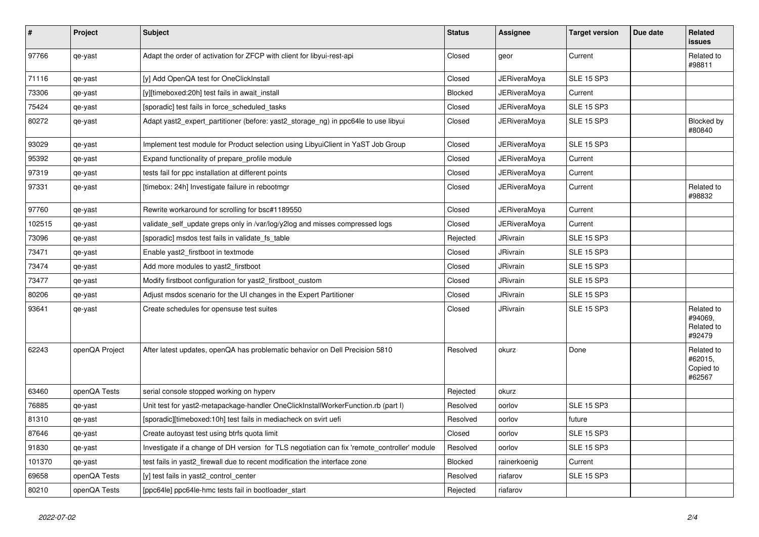| $\sharp$ | Project        | <b>Subject</b>                                                                               | <b>Status</b>  | <b>Assignee</b>     | <b>Target version</b> | Due date | <b>Related</b><br><b>issues</b>               |
|----------|----------------|----------------------------------------------------------------------------------------------|----------------|---------------------|-----------------------|----------|-----------------------------------------------|
| 97766    | qe-yast        | Adapt the order of activation for ZFCP with client for libyui-rest-api                       | Closed         | geor                | Current               |          | Related to<br>#98811                          |
| 71116    | qe-yast        | [y] Add OpenQA test for OneClickInstall                                                      | Closed         | JERiveraMova        | <b>SLE 15 SP3</b>     |          |                                               |
| 73306    | qe-yast        | [y][timeboxed:20h] test fails in await install                                               | <b>Blocked</b> | <b>JERiveraMoya</b> | Current               |          |                                               |
| 75424    | qe-yast        | [sporadic] test fails in force scheduled tasks                                               | Closed         | <b>JERiveraMoya</b> | <b>SLE 15 SP3</b>     |          |                                               |
| 80272    | qe-yast        | Adapt yast2_expert_partitioner (before: yast2_storage_ng) in ppc64le to use libyui           | Closed         | JERiveraMoya        | <b>SLE 15 SP3</b>     |          | Blocked by<br>#80840                          |
| 93029    | qe-yast        | Implement test module for Product selection using LibyuiClient in YaST Job Group             | Closed         | <b>JERiveraMoya</b> | <b>SLE 15 SP3</b>     |          |                                               |
| 95392    | qe-yast        | Expand functionality of prepare profile module                                               | Closed         | <b>JERiveraMoya</b> | Current               |          |                                               |
| 97319    | qe-yast        | tests fail for ppc installation at different points                                          | Closed         | <b>JERiveraMoya</b> | Current               |          |                                               |
| 97331    | qe-yast        | [timebox: 24h] Investigate failure in rebootmgr                                              | Closed         | JERiveraMoya        | Current               |          | Related to<br>#98832                          |
| 97760    | qe-yast        | Rewrite workaround for scrolling for bsc#1189550                                             | Closed         | JERiveraMoya        | Current               |          |                                               |
| 102515   | qe-yast        | validate_self_update greps only in /var/log/y2log and misses compressed logs                 | Closed         | <b>JERiveraMoya</b> | Current               |          |                                               |
| 73096    | qe-yast        | [sporadic] msdos test fails in validate_fs_table                                             | Rejected       | JRivrain            | <b>SLE 15 SP3</b>     |          |                                               |
| 73471    | qe-yast        | Enable yast2_firstboot in textmode                                                           | Closed         | JRivrain            | <b>SLE 15 SP3</b>     |          |                                               |
| 73474    | qe-yast        | Add more modules to yast2_firstboot                                                          | Closed         | JRivrain            | <b>SLE 15 SP3</b>     |          |                                               |
| 73477    | qe-yast        | Modify firstboot configuration for yast2_firstboot_custom                                    | Closed         | JRivrain            | <b>SLE 15 SP3</b>     |          |                                               |
| 80206    | qe-yast        | Adjust msdos scenario for the UI changes in the Expert Partitioner                           | Closed         | JRivrain            | <b>SLE 15 SP3</b>     |          |                                               |
| 93641    | qe-yast        | Create schedules for opensuse test suites                                                    | Closed         | JRivrain            | <b>SLE 15 SP3</b>     |          | Related to<br>#94069,<br>Related to<br>#92479 |
| 62243    | openQA Project | After latest updates, openQA has problematic behavior on Dell Precision 5810                 | Resolved       | okurz               | Done                  |          | Related to<br>#62015,<br>Copied to<br>#62567  |
| 63460    | openQA Tests   | serial console stopped working on hyperv                                                     | Rejected       | okurz               |                       |          |                                               |
| 76885    | qe-yast        | Unit test for yast2-metapackage-handler OneClickInstallWorkerFunction.rb (part I)            | Resolved       | oorlov              | <b>SLE 15 SP3</b>     |          |                                               |
| 81310    | qe-yast        | [sporadic][timeboxed:10h] test fails in mediacheck on svirt uefi                             | Resolved       | oorlov              | future                |          |                                               |
| 87646    | qe-yast        | Create autoyast test using btrfs quota limit                                                 | Closed         | oorlov              | <b>SLE 15 SP3</b>     |          |                                               |
| 91830    | qe-yast        | Investigate if a change of DH version for TLS negotiation can fix 'remote_controller' module | Resolved       | oorlov              | <b>SLE 15 SP3</b>     |          |                                               |
| 101370   | qe-yast        | test fails in yast2 firewall due to recent modification the interface zone                   | Blocked        | rainerkoenig        | Current               |          |                                               |
| 69658    | openQA Tests   | [y] test fails in yast2_control_center                                                       | Resolved       | riafarov            | <b>SLE 15 SP3</b>     |          |                                               |
| 80210    | openQA Tests   | [ppc64le] ppc64le-hmc tests fail in bootloader start                                         | Rejected       | riafarov            |                       |          |                                               |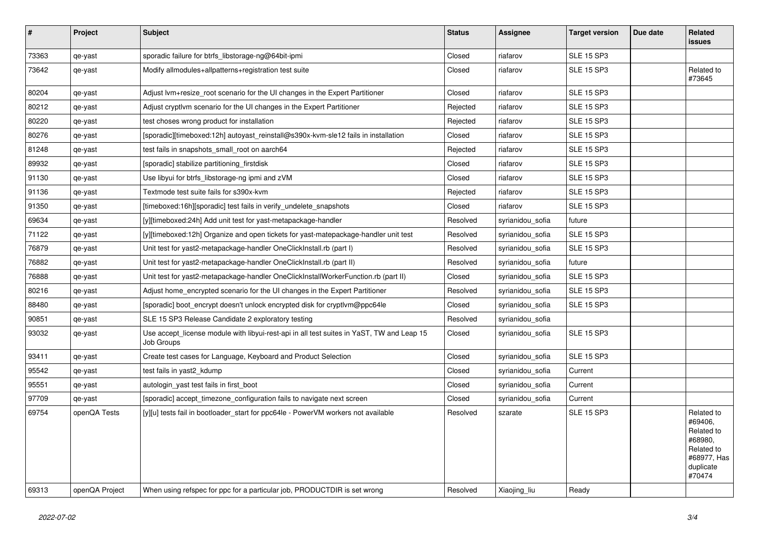| $\sharp$ | Project        | <b>Subject</b>                                                                                          | <b>Status</b> | Assignee         | <b>Target version</b> | Due date | Related<br><b>issues</b>                                                                           |
|----------|----------------|---------------------------------------------------------------------------------------------------------|---------------|------------------|-----------------------|----------|----------------------------------------------------------------------------------------------------|
| 73363    | qe-yast        | sporadic failure for btrfs_libstorage-ng@64bit-ipmi                                                     | Closed        | riafarov         | <b>SLE 15 SP3</b>     |          |                                                                                                    |
| 73642    | qe-yast        | Modify allmodules+allpatterns+registration test suite                                                   | Closed        | riafarov         | <b>SLE 15 SP3</b>     |          | Related to<br>#73645                                                                               |
| 80204    | qe-yast        | Adjust lvm+resize_root scenario for the UI changes in the Expert Partitioner                            | Closed        | riafarov         | <b>SLE 15 SP3</b>     |          |                                                                                                    |
| 80212    | qe-yast        | Adjust cryptivm scenario for the UI changes in the Expert Partitioner                                   | Rejected      | riafarov         | <b>SLE 15 SP3</b>     |          |                                                                                                    |
| 80220    | qe-yast        | test choses wrong product for installation                                                              | Rejected      | riafarov         | <b>SLE 15 SP3</b>     |          |                                                                                                    |
| 80276    | qe-yast        | [sporadic][timeboxed:12h] autoyast reinstall@s390x-kvm-sle12 fails in installation                      | Closed        | riafarov         | <b>SLE 15 SP3</b>     |          |                                                                                                    |
| 81248    | qe-yast        | test fails in snapshots_small_root on aarch64                                                           | Rejected      | riafarov         | <b>SLE 15 SP3</b>     |          |                                                                                                    |
| 89932    | qe-yast        | [sporadic] stabilize partitioning firstdisk                                                             | Closed        | riafarov         | <b>SLE 15 SP3</b>     |          |                                                                                                    |
| 91130    | qe-yast        | Use libyui for btrfs libstorage-ng ipmi and zVM                                                         | Closed        | riafarov         | <b>SLE 15 SP3</b>     |          |                                                                                                    |
| 91136    | qe-yast        | Textmode test suite fails for s390x-kvm                                                                 | Rejected      | riafarov         | <b>SLE 15 SP3</b>     |          |                                                                                                    |
| 91350    | qe-yast        | [timeboxed:16h][sporadic] test fails in verify_undelete_snapshots                                       | Closed        | riafarov         | <b>SLE 15 SP3</b>     |          |                                                                                                    |
| 69634    | qe-yast        | [y][timeboxed:24h] Add unit test for yast-metapackage-handler                                           | Resolved      | syrianidou_sofia | future                |          |                                                                                                    |
| 71122    | qe-yast        | [y][timeboxed:12h] Organize and open tickets for yast-matepackage-handler unit test                     | Resolved      | syrianidou sofia | <b>SLE 15 SP3</b>     |          |                                                                                                    |
| 76879    | qe-yast        | Unit test for yast2-metapackage-handler OneClickInstall.rb (part I)                                     | Resolved      | syrianidou sofia | <b>SLE 15 SP3</b>     |          |                                                                                                    |
| 76882    | qe-yast        | Unit test for yast2-metapackage-handler OneClickInstall.rb (part II)                                    | Resolved      | syrianidou sofia | future                |          |                                                                                                    |
| 76888    | qe-yast        | Unit test for yast2-metapackage-handler OneClickInstallWorkerFunction.rb (part II)                      | Closed        | syrianidou_sofia | <b>SLE 15 SP3</b>     |          |                                                                                                    |
| 80216    | qe-yast        | Adjust home_encrypted scenario for the UI changes in the Expert Partitioner                             | Resolved      | syrianidou_sofia | <b>SLE 15 SP3</b>     |          |                                                                                                    |
| 88480    | qe-yast        | [sporadic] boot_encrypt doesn't unlock encrypted disk for cryptlvm@ppc64le                              | Closed        | syrianidou_sofia | <b>SLE 15 SP3</b>     |          |                                                                                                    |
| 90851    | qe-yast        | SLE 15 SP3 Release Candidate 2 exploratory testing                                                      | Resolved      | syrianidou sofia |                       |          |                                                                                                    |
| 93032    | qe-yast        | Use accept_license module with libyui-rest-api in all test suites in YaST, TW and Leap 15<br>Job Groups | Closed        | syrianidou sofia | <b>SLE 15 SP3</b>     |          |                                                                                                    |
| 93411    | qe-yast        | Create test cases for Language, Keyboard and Product Selection                                          | Closed        | syrianidou_sofia | <b>SLE 15 SP3</b>     |          |                                                                                                    |
| 95542    | qe-yast        | test fails in yast2_kdump                                                                               | Closed        | syrianidou_sofia | Current               |          |                                                                                                    |
| 95551    | qe-yast        | autologin yast test fails in first boot                                                                 | Closed        | syrianidou sofia | Current               |          |                                                                                                    |
| 97709    | qe-yast        | [sporadic] accept timezone configuration fails to navigate next screen                                  | Closed        | syrianidou sofia | Current               |          |                                                                                                    |
| 69754    | openQA Tests   | [y][u] tests fail in bootloader_start for ppc64le - PowerVM workers not available                       | Resolved      | szarate          | <b>SLE 15 SP3</b>     |          | Related to<br>#69406,<br>Related to<br>#68980,<br>Related to<br>#68977, Has<br>duplicate<br>#70474 |
| 69313    | openQA Project | When using refspec for ppc for a particular job, PRODUCTDIR is set wrong                                | Resolved      | Xiaojing liu     | Ready                 |          |                                                                                                    |